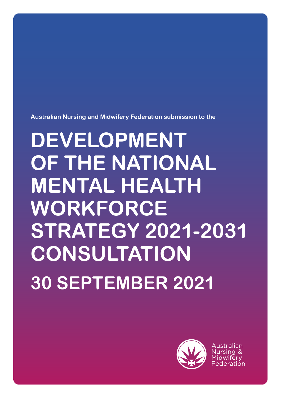**Australian Nursing and Midwifery Federation submission to the** 

# **DEVELOPMENT OF THE NATIONAL MENTAL HEALTH WORKFORCE STRATEGY 2021-2031 CONSULTATION 30 SEPTEMBER 2021**



Australian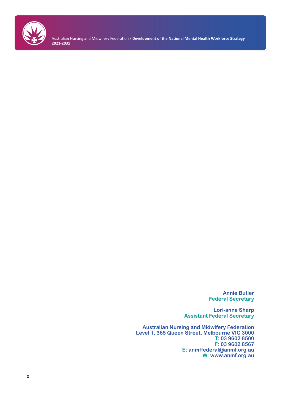

> **Annie Butler Federal Secretary**

**Lori-anne Sharp Assistant Federal Secretary**

**Australian Nursing and Midwifery Federation Level 1, 365 Queen Street, Melbourne VIC 3000 T: 03 9602 8500 F: 03 9602 8567 E: anmffederal@anmf.org.au W: www.anmf.org.au**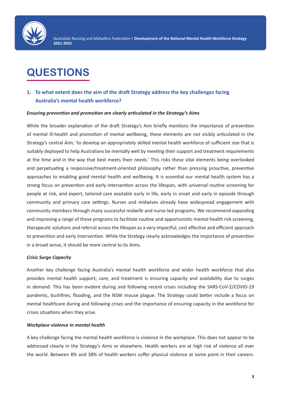

# **QUESTIONS**

### **1. To what extent does the aim of the draft Strategy address the key challenges facing Australia's mental health workforce?**

#### *Ensuring prevention and promotion are clearly articulated in the Strategy's Aims*

While the broader explanation of the draft Strategy's Aim briefly mentions the importance of prevention of mental ill-health and promotion of mental wellbeing, these elements are not visibly articulated in the Strategy's central Aim; 'to develop an appropriately skilled mental health workforce of sufficient size that is suitably deployed to help Australians be mentally well by meeting their support and treatment requirements at the time and in the way that best meets their needs.' This risks these vital elements being overlooked and perpetuating a responsive/treatment-oriented philosophy rather than pressing proactive, preventive approaches to enabling good mental health and wellbeing. It is essential our mental health system has a strong focus on prevention and early intervention across the lifespan, with universal routine screening for people at risk, and expert, tailored care available early in life, early in onset and early in episode through community and primary care settings. Nurses and midwives already have widespread engagement with community members through many successful midwife and nurse-led programs. We recommend expanding and improving a range of these programs to facilitate routine and opportunistic mental health risk screening, therapeutic solutions and referral across the lifespan as a very impactful, cost effective and efficient approach to prevention and early intervention. While the Strategy clearly acknowledges the importance of prevention in a broad sense, it should be more central to its Aims.

#### *Crisis Surge Capacity*

Another key challenge facing Australia's mental health workforce and wider health workforce that also provides mental health support, care, and treatment is ensuring capacity and availability due to surges in demand. This has been evident during and following recent crises including the SARS-CoV-2/COVID-19 pandemic, bushfires, flooding, and the NSW mouse plague. The Strategy could better include a focus on mental healthcare during and following crises and the importance of ensuring capacity in the workforce for crises situations when they arise.

#### *Workplace violence in mental health*

A key challenge facing the mental health workforce is violence in the workplace. This does not appear to be addressed clearly in the Strategy's Aims or elsewhere. Health workers are at high risk of violence all over the world. Between 8% and 38% of health workers suffer physical violence at some point in their careers.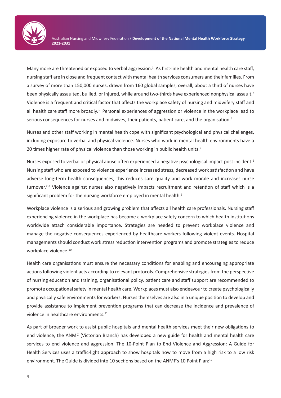

Many more are threatened or exposed to verbal aggression.<sup>1</sup> As first-line health and mental health care staff, nursing staff are in close and frequent contact with mental health services consumers and their families. From a survey of more than 150,000 nurses, drawn from 160 global samples, overall, about a third of nurses have been physically assaulted, bullied, or injured, while around two-thirds have experienced nonphysical assault.<sup>2</sup> Violence is a frequent and critical factor that affects the workplace safety of nursing and midwifery staff and all health care staff more broadly.<sup>3</sup> Personal experiences of aggression or violence in the workplace lead to serious consequences for nurses and midwives, their patients, patient care, and the organisation.<sup>4</sup>

Nurses and other staff working in mental health cope with significant psychological and physical challenges, including exposure to verbal and physical violence. Nurses who work in mental health environments have a 20 times higher rate of physical violence than those working in public health units.<sup>5</sup>

Nurses exposed to verbal or physical abuse often experienced a negative psychological impact post incident.<sup>6</sup> Nursing staff who are exposed to violence experience increased stress, decreased work satisfaction and have adverse long-term health consequences, this reduces care quality and work morale and increases nurse turnover.<sup>78</sup> Violence against nurses also negatively impacts recruitment and retention of staff which is a significant problem for the nursing workforce employed in mental health.<sup>9</sup>

Workplace violence is a serious and growing problem that affects all health care professionals. Nursing staff experiencing violence in the workplace has become a workplace safety concern to which health institutions worldwide attach considerable importance. Strategies are needed to prevent workplace violence and manage the negative consequences experienced by healthcare workers following violent events. Hospital managements should conduct work stress reduction intervention programs and promote strategies to reduce workplace violence.<sup>10</sup>

Health care organisations must ensure the necessary conditions for enabling and encouraging appropriate actions following violent acts according to relevant protocols. Comprehensive strategies from the perspective of nursing education and training, organisational policy, patient care and staff support are recommended to promote occupational safety in mental health care. Workplaces must also endeavour to create psychologically and physically safe environments for workers. Nurses themselves are also in a unique position to develop and provide assistance to implement prevention programs that can decrease the incidence and prevalence of violence in healthcare environments.<sup>11</sup>

As part of broader work to assist public hospitals and mental health services meet their new obligations to end violence, the ANMF (Victorian Branch) has developed a new guide for health and mental health care services to end violence and aggression. The 10-Point Plan to End Violence and Aggression: A Guide for Health Services uses a traffic-light approach to show hospitals how to move from a high risk to a low risk environment. The Guide is divided into 10 sections based on the ANMF's 10 Point Plan:12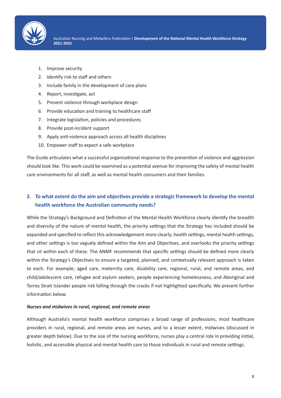

- 1. Improve security
- 2. Identify risk to staff and others
- 3. Include family in the development of care plans
- 4. Report, investigate, act
- 5. Prevent violence through workplace design
- 6. Provide education and training to healthcare staff
- 7. Integrate legislation, policies and procedures
- 8. Provide post-incident support
- 9. Apply anti-violence approach across all health disciplines
- 10. Empower staff to expect a safe workplace

The Guide articulates what a successful organisational response to the prevention of violence and aggression should look like. This work could be examined as a potential avenue for improving the safety of mental health care environments for all staff, as well as mental health consumers and their families.

## **2. To what extent do the aim and objectives provide a strategic framework to develop the mental health workforce the Australian community needs?**

While the Strategy's Background and Definition of the Mental Health Workforce clearly identify the breadth and diversity of the nature of mental health, the priority settings that the Strategy has included should be expanded and specified to reflect this acknowledgement more clearly; health settings, mental health settings, and other settings is too vaguely defined within the Aim and Objectives, and overlooks the priority settings that sit within each of these. The ANMF recommends that specific settings should be defined more clearly within the Strategy's Objectives to ensure a targeted, planned, and contextually relevant approach is taken to each. For example; aged care, maternity care, disability care, regional, rural, and remote areas, and child/adolescent care, refugee and asylum seekers, people experiencing homelessness, and Aboriginal and Torres Strait Islander people risk falling through the cracks if not highlighted specifically. We present further information below.

#### *Nurses and midwives in rural, regional, and remote areas*

Although Australia's mental health workforce comprises a broad range of professions, most healthcare providers in rural, regional, and remote areas are nurses, and to a lesser extent, midwives (discussed in greater depth below). Due to the size of the nursing workforce, nurses play a central role in providing initial, holistic, and accessible physical and mental health care to those individuals in rural and remote settings.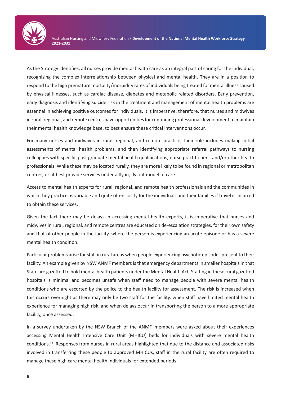

As the Strategy identifies, all nurses provide mental health care as an integral part of caring for the individual, recognising the complex interrelationship between physical and mental health. They are in a position to respond to the high premature mortality/morbidity rates of individuals being treated for mental illness caused by physical illnesses, such as cardiac disease, diabetes and metabolic related disorders. Early prevention, early diagnosis and identifying suicide risk in the treatment and management of mental health problems are essential in achieving positive outcomes for individuals. It is imperative, therefore, that nurses and midwives in rural, regional, and remote centres have opportunities for continuing professional development to maintain their mental health knowledge base, to best ensure these critical interventions occur.

For many nurses and midwives in rural, regional, and remote practice, their role includes making initial assessments of mental health problems, and then identifying appropriate referral pathways to nursing colleagues with specific post graduate mental health qualifications, nurse practitioners, and/or other health professionals. While these may be located rurally, they are more likely to be found in regional or metropolitan centres, or at best provide services under a fly in, fly out model of care.

Access to mental health experts for rural, regional, and remote health professionals and the communities in which they practice, is variable and quite often costly for the individuals and their families if travel is incurred to obtain these services.

Given the fact there may be delays in accessing mental health experts, it is imperative that nurses and midwives in rural, regional, and remote centres are educated on de-escalation strategies, for their own safety and that of other people in the facility, where the person is experiencing an acute episode or has a severe mental health condition.

Particular problems arise for staff in rural areas when people experiencing psychotic episodes present to their facility. An example given by NSW ANMF members is that emergency departments in smaller hospitals in that State are gazetted to hold mental health patients under the Mental Health Act. Staffing in these rural gazetted hospitals is minimal and becomes unsafe when staff need to manage people with severe mental health conditions who are escorted by the police to the health facility for assessment. The risk is increased when this occurs overnight as there may only be two staff for the facility, when staff have limited mental health experience for managing high risk, and when delays occur in transporting the person to a more appropriate facility, once assessed.

In a survey undertaken by the NSW Branch of the ANMF, members were asked about their experiences accessing Mental Health Intensive Care Unit (MHICU) beds for individuals with severe mental health conditions.13 Responses from nurses in rural areas highlighted that due to the distance and associated risks involved in transferring these people to approved MHICUs, staff in the rural facility are often required to manage these high care mental health individuals for extended periods.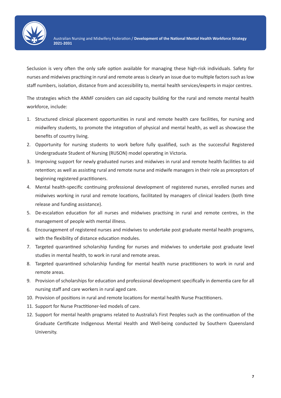

Seclusion is very often the only safe option available for managing these high-risk individuals. Safety for nurses and midwives practising in rural and remote areas is clearly an issue due to multiple factors such as low staff numbers, isolation, distance from and accessibility to, mental health services/experts in major centres.

The strategies which the ANMF considers can aid capacity building for the rural and remote mental health workforce, include:

- 1. Structured clinical placement opportunities in rural and remote health care facilities, for nursing and midwifery students, to promote the integration of physical and mental health, as well as showcase the benefits of country living.
- 2. Opportunity for nursing students to work before fully qualified, such as the successful Registered Undergraduate Student of Nursing (RUSON) model operating in Victoria.
- 3. Improving support for newly graduated nurses and midwives in rural and remote health facilities to aid retention; as well as assisting rural and remote nurse and midwife managers in their role as preceptors of beginning registered practitioners.
- 4. Mental health-specific continuing professional development of registered nurses, enrolled nurses and midwives working in rural and remote locations, facilitated by managers of clinical leaders (both time release and funding assistance).
- 5. De-escalation education for all nurses and midwives practising in rural and remote centres, in the management of people with mental illness.
- 6. Encouragement of registered nurses and midwives to undertake post graduate mental health programs, with the flexibility of distance education modules.
- 7. Targeted quarantined scholarship funding for nurses and midwives to undertake post graduate level studies in mental health, to work in rural and remote areas.
- 8. Targeted quarantined scholarship funding for mental health nurse practitioners to work in rural and remote areas.
- 9. Provision of scholarships for education and professional development specifically in dementia care for all nursing staff and care workers in rural aged care.
- 10. Provision of positions in rural and remote locations for mental health Nurse Practitioners.
- 11. Support for Nurse Practitioner-led models of care.
- 12. Support for mental health programs related to Australia's First Peoples such as the continuation of the Graduate Certificate Indigenous Mental Health and Well-being conducted by Southern Queensland University.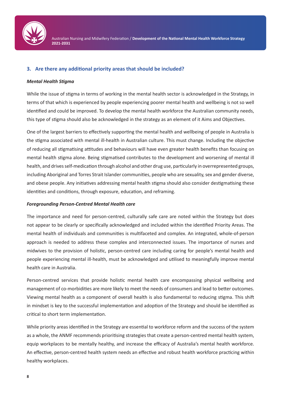

#### **3. Are there any additional priority areas that should be included?**

#### *Mental Health Stigma*

While the issue of stigma in terms of working in the mental health sector is acknowledged in the Strategy, in terms of that which is experienced by people experiencing poorer mental health and wellbeing is not so well identified and could be improved. To develop the mental health workforce the Australian community needs, this type of stigma should also be acknowledged in the strategy as an element of it Aims and Objectives.

One of the largest barriers to effectively supporting the mental health and wellbeing of people in Australia is the stigma associated with mental ill-health in Australian culture. This must change. Including the objective of reducing all stigmatising attitudes and behaviours will have even greater health benefits than focusing on mental health stigma alone. Being stigmatised contributes to the development and worsening of mental ill health, and drives self-medication through alcohol and other drug use, particularly in overrepresented groups, including Aboriginal and Torres Strait Islander communities, people who are sexuality, sex and gender diverse, and obese people. Any initiatives addressing mental health stigma should also consider destigmatising these identities and conditions, through exposure, education, and reframing.

#### *Foregrounding Person-Centred Mental Health care*

The importance and need for person-centred, culturally safe care are noted within the Strategy but does not appear to be clearly or specifically acknowledged and included within the identified Priority Areas. The mental health of individuals and communities is multifaceted and complex. An integrated, whole-of-person approach is needed to address these complex and interconnected issues. The importance of nurses and midwives to the provision of holistic, person-centred care including caring for people's mental health and people experiencing mental ill-health, must be acknowledged and utilised to meaningfully improve mental health care in Australia.

Person-centred services that provide holistic mental health care encompassing physical wellbeing and management of co-morbidities are more likely to meet the needs of consumers and lead to better outcomes. Viewing mental health as a component of overall health is also fundamental to reducing stigma. This shift in mindset is key to the successful implementation and adoption of the Strategy and should be identified as critical to short term implementation.

While priority areas identified in the Strategy are essential to workforce reform and the success of the system as a whole, the ANMF recommends prioritising strategies that create a person-centred mental health system, equip workplaces to be mentally healthy, and increase the efficacy of Australia's mental health workforce. An effective, person-centred health system needs an effective and robust health workforce practicing within healthy workplaces.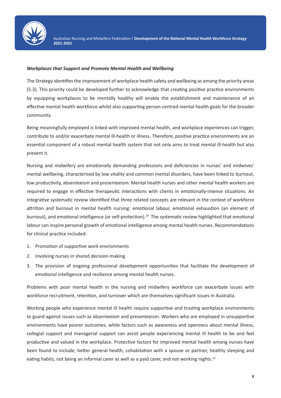

#### *Workplaces that Support and Promote Mental Health and Wellbeing*

The Strategy identifies the improvement of workplace health safety and wellbeing as among the priority areas (5.3). This priority could be developed further to acknowledge that creating positive practice environments by equipping workplaces to be mentally healthy will enable the establishment and maintenance of an effective mental health workforce whilst also supporting person-centred mental health goals for the broader community.

Being meaningfully employed is linked with improved mental health, and workplace experiences can trigger, contribute to and/or exacerbate mental ill-health or illness. Therefore, positive practice environments are an essential component of a robust mental health system that not only aims to treat mental ill-health but also prevent it.

Nursing and midwifery are emotionally demanding professions and deficiencies in nurses' and midwives' mental wellbeing, characterised by low vitality and common mental disorders, have been linked to burnout, low productivity, absenteeism and presenteeism. Mental health nurses and other mental health workers are required to engage in effective therapeutic interactions with clients in emotionally-intense situations. An integrative systematic review identified that three related concepts are relevant in the context of workforce attrition and burnout in mental health nursing: emotional labour, emotional exhaustion (an element of burnout), and emotional intelligence (or self-protection).<sup>14</sup> The systematic review highlighted that emotional labour can inspire personal growth of emotional intelligence among mental health nurses. Recommendations for clinical practice included:

- 1. Promotion of supportive work environments
- 2. Involving nurses in shared decision-making
- 3. The provision of ongoing professional development opportunities that facilitate the development of emotional intelligence and resilience among mental health nurses.

Problems with poor mental health in the nursing and midwifery workforce can exacerbate issues with workforce recruitment, retention, and turnover which are themselves significant issues in Australia.

Working people who experience mental ill health require supportive and trusting workplace environments to guard against issues such as absenteeism and presenteeism. Workers who are employed in unsupportive environments have poorer outcomes, while factors such as awareness and openness about mental illness, collegial support and managerial support can assist people experiencing mental ill health to be and feel productive and valued in the workplace. Protective factors for improved mental health among nurses have been found to include; better general health, cohabitation with a spouse or partner, healthy sleeping and eating habits, not being an informal carer as well as a paid carer, and not working nights.<sup>15</sup>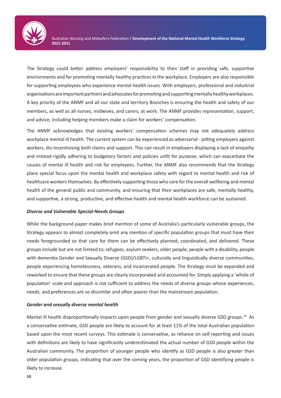

The Strategy could better address employers' responsibility to their staff in providing safe, supportive environments and for promoting mentally healthy practices in the workplace. Employers are also responsible for supporting employees who experience mental health issues. With employers, professional and industrial organisations are important partners and advocates for promoting and supporting mentally healthy workplaces. A key priority of the ANMF and all our state and territory Branches is ensuring the health and safety of our members, as well as all nurses, midwives, and carers, at work. The ANMF provides representation, support, and advice, including helping members make a claim for workers' compensation.

The ANMF acknowledges that existing workers' compensation schemes may not adequately address workplace mental ill health. The current system can be experienced as adversarial - pitting employers against workers, dis-incentivising both claims and support. This can result in employers displaying a lack of empathy and instead rigidly adhering to budgetary factors and policies unfit for purpose, which can exacerbate the causes of mental ill health and risk for employees. Further, the ANMF also recommends that the Strategy place special focus upon the mental health and workplace safety with regard to mental health and risk of healthcare workers themselves. By effectively supporting those who care for the overall wellbeing and mental health of the general public and community, and ensuring that their workplaces are safe, mentally healthy, and supportive, a strong, productive, and effective health and mental health workforce can be sustained.

#### *Diverse and Vulnerable Special-Needs Groups*

While the background paper makes brief mention of some of Australia's particularly vulnerable groups, the Strategy appears to almost completely omit any mention of specific population groups that must have their needs foregrounded so that care for them can be effectively planned, coordinated, and delivered. These groups include but are not limited to; refugees, asylum seekers, older people, people with a disability, people with dementia Gender and Sexually Diverse (GSD)/LGBTI+, culturally and linguistically diverse communities, people experiencing homelessness, veterans, and incarcerated people. The Strategy must be expanded and reworked to ensure that these groups are clearly incorporated and accounted for. Simply applying a 'whole of population' scale and approach is not sufficient to address the needs of diverse groups whose experiences, needs, and preferences are so dissimilar and often poorer than the mainstream population.

#### *Gender and sexually diverse mental health*

Mental ill health disproportionally impacts upon people from gender and sexually diverse GSD groups.<sup>16</sup> As a conservative estimate, GSD people are likely to account for at least 11% of the total Australian population based upon the most recent surveys. This estimate is conservative, as reliance on self-reporting and issues with definitions are likely to have significantly underestimated the actual number of GSD people within the Australian community. The proportion of younger people who identify as GSD people is also greater than older population groups, indicating that over the coming years, the proportion of GSD identifying people is likely to increase.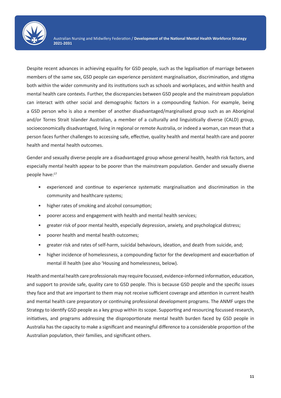

Despite recent advances in achieving equality for GSD people, such as the legalisation of marriage between members of the same sex, GSD people can experience persistent marginalisation, discrimination, and stigma both within the wider community and its institutions such as schools and workplaces, and within health and mental health care contexts. Further, the discrepancies between GSD people and the mainstream population can interact with other social and demographic factors in a compounding fashion. For example, being a GSD person who is also a member of another disadvantaged/marginalised group such as an Aboriginal and/or Torres Strait Islander Australian, a member of a culturally and linguistically diverse (CALD) group, socioeconomically disadvantaged, living in regional or remote Australia, or indeed a woman, can mean that a person faces further challenges to accessing safe, effective, quality health and mental health care and poorer health and mental health outcomes.

Gender and sexually diverse people are a disadvantaged group whose general health, health risk factors, and especially mental health appear to be poorer than the mainstream population. Gender and sexually diverse people have:<sup>17</sup>

- experienced and continue to experience systematic marginalisation and discrimination in the community and healthcare systems;
- higher rates of smoking and alcohol consumption;
- poorer access and engagement with health and mental health services;
- greater risk of poor mental health, especially depression, anxiety, and psychological distress;
- poorer health and mental health outcomes;
- greater risk and rates of self-harm, suicidal behaviours, ideation, and death from suicide, and;
- higher incidence of homelessness, a compounding factor for the development and exacerbation of mental ill health (see also 'Housing and homelessness, below).

Health and mental health care professionals may require focussed, evidence-informed information, education, and support to provide safe, quality care to GSD people. This is because GSD people and the specific issues they face and that are important to them may not receive sufficient coverage and attention in current health and mental health care preparatory or continuing professional development programs. The ANMF urges the Strategy to identify GSD people as a key group within its scope. Supporting and resourcing focussed research, initiatives, and programs addressing the disproportionate mental health burden faced by GSD people in Australia has the capacity to make a significant and meaningful difference to a considerable proportion of the Australian population, their families, and significant others.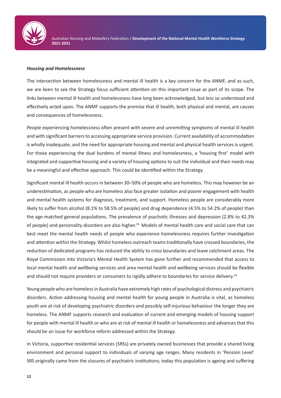

#### *Housing and Homelessness*

The intersection between homelessness and mental ill health is a key concern for the ANMF, and as such, we are keen to see the Strategy focus sufficient attention on this important issue as part of its scope. The links between mental ill health and homelessness have long been acknowledged, but less so understood and effectively acted upon. The ANMF supports the premise that ill health, both physical and mental, are causes and consequences of homelessness.

People experiencing homelessness often present with severe and unremitting symptoms of mental ill health and with significant barriers to accessing appropriate service provision. Current availability of accommodation is wholly inadequate, and the need for appropriate housing and mental and physical health services is urgent. For those experiencing the dual burdens of mental illness and homelessness, a 'housing first' model with integrated and supportive housing and a variety of housing options to suit the individual and their needs may be a meaningful and effective approach. This could be identified within the Strategy.

Significant mental ill health occurs in between 30–50% of people who are homeless. This may however be an underestimation, as people who are homeless also face greater isolation and poorer engagement with health and mental health systems for diagnosis, treatment, and support. Homeless people are considerably more likely to suffer from alcohol (8.1% to 58.5% of people) and drug dependence (4.5% to 54.2% of people) than the age-matched general populations. The prevalence of psychotic illnesses and depression (2.8% to 42.3% of people) and personality disorders are also higher.18 Models of mental health care and social care that can best meet the mental health needs of people who experience homelessness requires further investigation and attention within the Strategy. Whilst homeless outreach teams traditionally have crossed boundaries, the reduction of dedicated programs has reduced the ability to cross boundaries and leave catchment areas. The Royal Commission into Victoria's Mental Health System has gone further and recommended that access to local mental health and wellbeing services and area mental health and wellbeing services should be flexible and should not require providers or consumers to rigidly adhere to boundaries for service delivery.<sup>19</sup>

Young people who are homeless in Australia have extremely high rates of psychological distress and psychiatric disorders. Action addressing housing and mental health for young people in Australia is vital, as homeless youth are at risk of developing psychiatric disorders and possibly self-injurious behaviour the longer they are homeless. The ANMF supports research and evaluation of current and emerging models of housing support for people with mental ill health or who are at risk of mental ill health or homelessness and advances that this should be an issue for workforce reform addressed within the Strategy.

In Victoria, supportive residential services (SRSs) are privately owned businesses that provide a shared living environment and personal support to individuals of varying age ranges. Many residents in 'Pension Level' SRS originally came from the closures of psychiatric institutions; today this population is ageing and suffering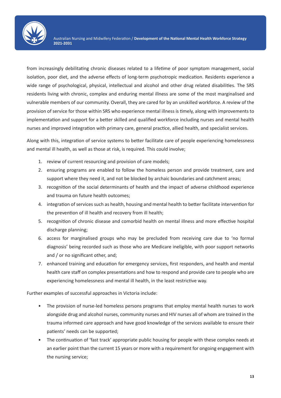

from increasingly debilitating chronic diseases related to a lifetime of poor symptom management, social isolation, poor diet, and the adverse effects of long-term psychotropic medication. Residents experience a wide range of psychological, physical, intellectual and alcohol and other drug related disabilities. The SRS residents living with chronic, complex and enduring mental illness are some of the most marginalised and vulnerable members of our community. Overall, they are cared for by an unskilled workforce. A review of the provision of service for those within SRS who experience mental illness is timely, along with improvements to implementation and support for a better skilled and qualified workforce including nurses and mental health nurses and improved integration with primary care, general practice, allied health, and specialist services.

Along with this, integration of service systems to better facilitate care of people experiencing homelessness and mental ill health, as well as those at risk, is required. This could involve;

- 1. review of current resourcing and provision of care models;
- 2. ensuring programs are enabled to follow the homeless person and provide treatment, care and support where they need it, and not be blocked by archaic boundaries and catchment areas;
- 3. recognition of the social determinants of health and the impact of adverse childhood experience and trauma on future health outcomes;
- 4. integration of services such as health, housing and mental health to better facilitate intervention for the prevention of ill health and recovery from ill health;
- 5. recognition of chronic disease and comorbid health on mental illness and more effective hospital discharge planning;
- 6. access for marginalised groups who may be precluded from receiving care due to 'no formal diagnosis' being recorded such as those who are Medicare ineligible, with poor support networks and / or no significant other, and;
- 7. enhanced training and education for emergency services, first responders, and health and mental health care staff on complex presentations and how to respond and provide care to people who are experiencing homelessness and mental ill health, in the least restrictive way.

Further examples of successful approaches in Victoria include:

- The provision of nurse-led homeless persons programs that employ mental health nurses to work alongside drug and alcohol nurses, community nurses and HIV nurses all of whom are trained in the trauma informed care approach and have good knowledge of the services available to ensure their patients' needs can be supported;
- The continuation of 'fast track' appropriate public housing for people with these complex needs at an earlier point than the current 15 years or more with a requirement for ongoing engagement with the nursing service;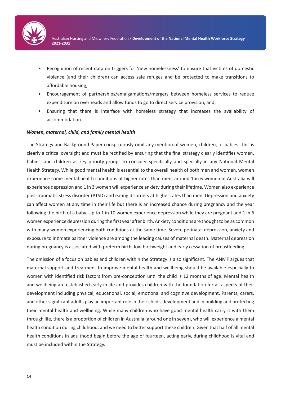

- Recognition of recent data on triggers for 'new homelessness' to ensure that victims of domestic violence (and their children) can access safe refuges and be protected to make transitions to affordable housing;
- Encouragement of partnerships/amalgamations/mergers between homeless services to reduce expenditure on overheads and allow funds to go to direct service provision, and;
- Ensuring that there is interface with homeless strategy that increases the availability of accommodation.

#### *Women, maternal, child, and family mental health*

The Strategy and Background Paper conspicuously omit any mention of women, children, or babies. This is clearly a critical oversight and must be rectified by ensuring that the final strategy clearly identifies women, babies, and children as key priority groups to consider specifically and specially in any National Mental Health Strategy. While good mental health is essential to the overall health of both men and women, women experience some mental health conditions at higher rates than men; around 1 in 6 women in Australia will experience depression and 1 in 3 women will experience anxiety during their lifetime. Women also experience post-traumatic stress disorder (PTSD) and eating disorders at higher rates than men. Depression and anxiety can affect women at any time in their life but there is an increased chance during pregnancy and the year following the birth of a baby. Up to 1 in 10 women experience depression while they are pregnant and 1 in 6 women experience depression during the first year after birth. Anxiety conditions are thought to be as common with many women experiencing both conditions at the same time. Severe perinatal depression, anxiety and exposure to intimate partner violence are among the leading causes of maternal death. Maternal depression during pregnancy is associated with preterm birth, low birthweight and early cessation of breastfeeding.

The omission of a focus on babies and children within the Strategy is also significant. The ANMF argues that maternal support and treatment to improve mental health and wellbeing should be available especially to women with identified risk factors from pre-conception until the child is 12 months of age. Mental health and wellbeing are established early in life and provides children with the foundation for all aspects of their development including physical, educational, social, emotional and cognitive development. Parents, carers, and other significant adults play an important role in their child's development and in building and protecting their mental health and wellbeing. While many children who have good mental health carry it with them through life, there is a proportion of children in Australia (around one in seven), who will experience a mental health condition during childhood, and we need to better support these children. Given that half of all mental health conditions in adulthood begin before the age of fourteen, acting early, during childhood is vital and must be included within the Strategy.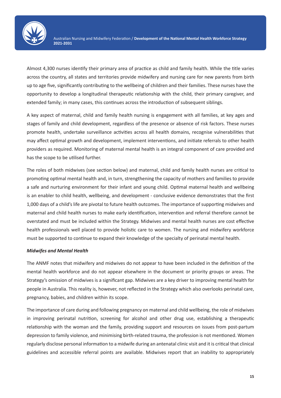

Almost 4,300 nurses identify their primary area of practice as child and family health. While the title varies across the country, all states and territories provide midwifery and nursing care for new parents from birth up to age five, significantly contributing to the wellbeing of children and their families. These nurses have the opportunity to develop a longitudinal therapeutic relationship with the child, their primary caregiver, and extended family; in many cases, this continues across the introduction of subsequent siblings.

A key aspect of maternal, child and family health nursing is engagement with all families, at key ages and stages of family and child development, regardless of the presence or absence of risk factors. These nurses promote health, undertake surveillance activities across all health domains, recognise vulnerabilities that may affect optimal growth and development, implement interventions, and initiate referrals to other health providers as required. Monitoring of maternal mental health is an integral component of care provided and has the scope to be utilised further.

The roles of both midwives (see section below) and maternal, child and family health nurses are critical to promoting optimal mental health and, in turn, strengthening the capacity of mothers and families to provide a safe and nurturing environment for their infant and young child. Optimal maternal health and wellbeing is an enabler to child health, wellbeing, and development - conclusive evidence demonstrates that the first 1,000 days of a child's life are pivotal to future health outcomes. The importance of supporting midwives and maternal and child health nurses to make early identification, intervention and referral therefore cannot be overstated and must be included within the Strategy. Midwives and mental health nurses are cost effective health professionals well placed to provide holistic care to women. The nursing and midwifery workforce must be supported to continue to expand their knowledge of the specialty of perinatal mental health.

#### *Midwifes and Mental Health*

The ANMF notes that midwifery and midwives do not appear to have been included in the definition of the mental health workforce and do not appear elsewhere in the document or priority groups or areas. The Strategy's omission of midwives is a significant gap. Midwives are a key driver to improving mental health for people in Australia. This reality is, however, not reflected in the Strategy which also overlooks perinatal care, pregnancy, babies, and children within its scope.

The importance of care during and following pregnancy on maternal and child wellbeing, the role of midwives in improving perinatal nutrition, screening for alcohol and other drug use, establishing a therapeutic relationship with the woman and the family, providing support and resources on issues from post-partum depression to family violence, and minimising birth-related trauma, the profession is not mentioned. Women regularly disclose personal information to a midwife during an antenatal clinic visit and it is critical that clinical guidelines and accessible referral points are available. Midwives report that an inability to appropriately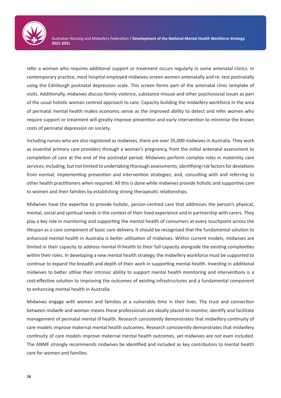

refer a woman who requires additional support or treatment occurs regularly in some antenatal clinics. In contemporary practice, most hospital employed midwives screen women antenatally and re- test postnatally using the Edinburgh postnatal depression scale. This screen forms part of the antenatal clinic template of visits. Additionally, midwives discuss family violence, substance misuse and other psychosocial issues as part of the usual holistic woman centred approach to care. Capacity building the midwifery workforce in the area of perinatal mental health makes economic sense as the improved ability to detect and refer women who require support or treatment will greatly improve prevention and early intervention to minimise the known costs of perinatal depression on society.

Including nurses who are also registered as midwives, there are over 35,000 midwives in Australia. They work as essential primary care providers through a woman's pregnancy, from the initial antenatal assessment to completion of care at the end of the postnatal period. Midwives perform complex roles in maternity care services, including, but not limited to undertaking thorough assessments; identifying risk factors for deviations from normal; implementing prevention and intervention strategies; and, consulting with and referring to other health practitioners when required. All this is done while midwives provide holistic and supportive care to women and their families by establishing strong therapeutic relationships.

Midwives have the expertise to provide holistic, person-centred care that addresses the person's physical, mental, social and spiritual needs in the context of their lived experience and in partnership with carers. They play a key role in monitoring and supporting the mental health of consumers at every touchpoint across the lifespan as a core component of basic care delivery. It should be recognised that the fundamental solution to enhanced mental health in Australia is better utilisation of midwives. Within current models, midwives are limited in their capacity to address mental ill-health to their full capacity alongside the existing complexities within their roles. In developing a new mental health strategy, the midwifery workforce must be supported to continue to expand the breadth and depth of their work in supporting mental health. Investing in additional midwives to better utilise their intrinsic ability to support mental health monitoring and interventions is a cost-effective solution to improving the outcomes of existing infrastructures and a fundamental component to enhancing mental health in Australia.

Midwives engage with women and families at a vulnerable time in their lives. The trust and connection between midwife and woman means these professionals are ideally placed to monitor, identify and facilitate management of perinatal mental ill health. Research consistently demonstrates that midwifery continuity of care models improve maternal mental health outcomes. Research consistently demonstrates that midwifery continuity of care models improve maternal mental health outcomes, yet midwives are not even included. The ANMF strongly recommends midwives be identified and included as key contributors to mental health care for women and families.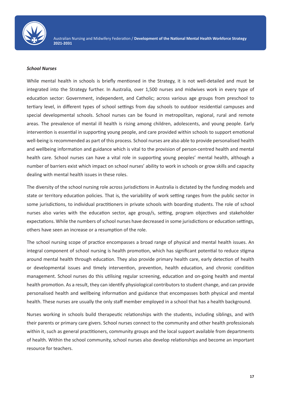

#### *School Nurses*

While mental health in schools is briefly mentioned in the Strategy, it is not well-detailed and must be integrated into the Strategy further. In Australia, over 1,500 nurses and midwives work in every type of education sector: Government, independent, and Catholic; across various age groups from preschool to tertiary level, in different types of school settings from day schools to outdoor residential campuses and special developmental schools. School nurses can be found in metropolitan, regional, rural and remote areas. The prevalence of mental ill health is rising among children, adolescents, and young people. Early intervention is essential in supporting young people, and care provided within schools to support emotional well-being is recommended as part of this process. School nurses are also able to provide personalised health and wellbeing information and guidance which is vital to the provision of person-centred health and mental health care. School nurses can have a vital role in supporting young peoples' mental health, although a number of barriers exist which impact on school nurses' ability to work in schools or grow skills and capacity dealing with mental health issues in these roles.

The diversity of the school nursing role across jurisdictions in Australia is dictated by the funding models and state or territory education policies. That is, the variability of work setting ranges from the public sector in some jurisdictions, to individual practitioners in private schools with boarding students. The role of school nurses also varies with the education sector, age group/s, setting, program objectives and stakeholder expectations. While the numbers of school nurses have decreased in some jurisdictions or education settings, others have seen an increase or a resumption of the role.

The school nursing scope of practice encompasses a broad range of physical and mental health issues. An integral component of school nursing is health promotion, which has significant potential to reduce stigma around mental health through education. They also provide primary health care, early detection of health or developmental issues and timely intervention, prevention, health education, and chronic condition management. School nurses do this utilising regular screening, education and on-going health and mental health promotion. As a result, they can identify physiological contributors to student change, and can provide personalised health and wellbeing information and guidance that encompasses both physical and mental health. These nurses are usually the only staff member employed in a school that has a health background.

Nurses working in schools build therapeutic relationships with the students, including siblings, and with their parents or primary care givers. School nurses connect to the community and other health professionals within it, such as general practitioners, community groups and the local support available from departments of health. Within the school community, school nurses also develop relationships and become an important resource for teachers.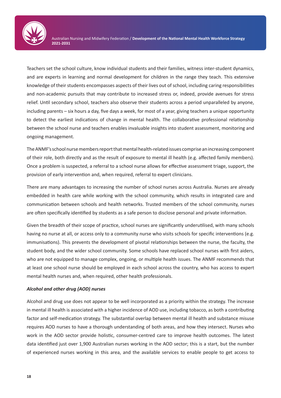

Teachers set the school culture, know individual students and their families, witness inter-student dynamics, and are experts in learning and normal development for children in the range they teach. This extensive knowledge of their students encompasses aspects of their lives out of school, including caring responsibilities and non-academic pursuits that may contribute to increased stress or, indeed, provide avenues for stress relief. Until secondary school, teachers also observe their students across a period unparalleled by anyone, including parents – six hours a day, five days a week, for most of a year, giving teachers a unique opportunity to detect the earliest indications of change in mental health. The collaborative professional relationship between the school nurse and teachers enables invaluable insights into student assessment, monitoring and ongoing management.

The ANMF's school nurse members report that mental health-related issues comprise an increasing component of their role, both directly and as the result of exposure to mental ill health (e.g. affected family members). Once a problem is suspected, a referral to a school nurse allows for effective assessment triage, support, the provision of early intervention and, when required, referral to expert clinicians.

There are many advantages to increasing the number of school nurses across Australia. Nurses are already embedded in health care while working with the school community, which results in integrated care and communication between schools and health networks. Trusted members of the school community, nurses are often specifically identified by students as a safe person to disclose personal and private information.

Given the breadth of their scope of practice, school nurses are significantly underutilised, with many schools having no nurse at all, or access only to a community nurse who visits schools for specific interventions (e.g. immunisations). This prevents the development of pivotal relationships between the nurse, the faculty, the student body, and the wider school community. Some schools have replaced school nurses with first aiders, who are not equipped to manage complex, ongoing, or multiple health issues. The ANMF recommends that at least one school nurse should be employed in each school across the country, who has access to expert mental health nurses and, when required, other health professionals.

#### *Alcohol and other drug (AOD) nurses*

Alcohol and drug use does not appear to be well incorporated as a priority within the strategy. The increase in mental ill health is associated with a higher incidence of AOD use, including tobacco, as both a contributing factor and self-medication strategy. The substantial overlap between mental ill health and substance misuse requires AOD nurses to have a thorough understanding of both areas, and how they intersect. Nurses who work in the AOD sector provide holistic, consumer-centred care to improve health outcomes. The latest data identified just over 1,900 Australian nurses working in the AOD sector; this is a start, but the number of experienced nurses working in this area, and the available services to enable people to get access to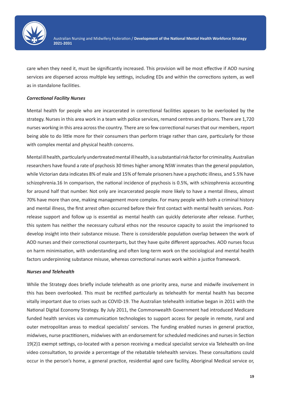

care when they need it, must be significantly increased. This provision will be most effective if AOD nursing services are dispersed across multiple key settings, including EDs and within the corrections system, as well as in standalone facilities.

#### *Correctional Facility Nurses*

Mental health for people who are incarcerated in correctional facilities appears to be overlooked by the strategy. Nurses in this area work in a team with police services, remand centres and prisons. There are 1,720 nurses working in this area across the country. There are so few correctional nurses that our members, report being able to do little more for their consumers than perform triage rather than care, particularly for those with complex mental and physical health concerns.

Mental ill health, particularly undertreated mental ill health, is a substantial risk factor for criminality. Australian researchers have found a rate of psychosis 30 times higher among NSW inmates than the general population, while Victorian data indicates 8% of male and 15% of female prisoners have a psychotic illness, and 5.5% have schizophrenia.16 In comparison, the national incidence of psychosis is 0.5%, with schizophrenia accounting for around half that number. Not only are incarcerated people more likely to have a mental illness, almost 70% have more than one, making management more complex. For many people with both a criminal history and mental illness, the first arrest often occurred before their first contact with mental health services. Postrelease support and follow up is essential as mental health can quickly deteriorate after release. Further, this system has neither the necessary cultural ethos nor the resource capacity to assist the imprisoned to develop insight into their substance misuse. There is considerable population overlap between the work of AOD nurses and their correctional counterparts, but they have quite different approaches. AOD nurses focus on harm minimisation, with understanding and often long-term work on the sociological and mental health factors underpinning substance misuse, whereas correctional nurses work within a justice framework.

#### *Nurses and Telehealth*

While the Strategy does briefly include telehealth as one priority area, nurse and midwife involvement in this has been overlooked. This must be rectified particularly as telehealth for mental health has become vitally important due to crises such as COVID-19. The Australian telehealth initiative began in 2011 with the National Digital Economy Strategy. By July 2011, the Commonwealth Government had introduced Medicare funded health services via communication technologies to support access for people in remote, rural and outer metropolitan areas to medical specialists' services. The funding enabled nurses in general practice, midwives, nurse practitioners, midwives with an endorsement for scheduled medicines and nurses in Section 19(2)1 exempt settings, co-located with a person receiving a medical specialist service via Telehealth on-line video consultation, to provide a percentage of the rebatable telehealth services. These consultations could occur in the person's home, a general practice, residential aged care facility, Aboriginal Medical service or,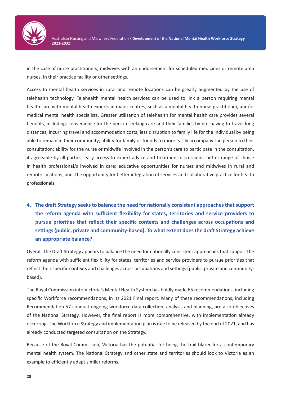

in the case of nurse practitioners, midwives with an endorsement for scheduled medicines or remote area nurses, in their practice facility or other settings.

Access to mental health services in rural and remote locations can be greatly augmented by the use of telehealth technology. Telehealth mental health services can be used to link a person requiring mental health care with mental health experts in major centres, such as a mental health nurse practitioner, and/or medical mental health specialists. Greater utilisation of telehealth for mental health care provides several benefits, including: convenience for the person seeking care and their families by not having to travel long distances, incurring travel and accommodation costs; less disruption to family life for the individual by being able to remain in their community; ability for family or friends to more easily accompany the person to their consultation; ability for the nurse or midwife involved in the person's care to participate in the consultation, if agreeable by all parties; easy access to expert advice and treatment discussions; better range of choice in health professional/s involved in care; educative opportunities for nurses and midwives in rural and remote locations; and, the opportunity for better integration of services and collaborative practice for health professionals.

**4. The draft Strategy seeks to balance the need for nationally consistent approaches that support the reform agenda with sufficient flexibility for states, territories and service providers to pursue priorities that reflect their specific contexts and challenges across occupations and settings (public, private and community-based). To what extent does the draft Strategy achieve an appropriate balance?**

Overall, the Draft Strategy appears to balance the need for nationally consistent approaches that support the reform agenda with sufficient flexibility for states, territories and service providers to pursue priorities that reflect their specific contexts and challenges across occupations and settings (public, private and communitybased).

The Royal Commission into Victoria's Mental Health System has boldly made 65 recommendations, including specific Workforce recommendations, in its 2021 Final report. Many of these recommendations, including Recommendation 57 conduct ongoing workforce data collection, analysis and planning, are also objectives of the National Strategy. However, the final report is more comprehensive, with implementation already occurring. The Workforce Strategy and implementation plan is due to be released by the end of 2021, and has already conducted targeted consultation on the Strategy.

Because of the Royal Commission, Victoria has the potential for being the trail blazer for a contemporary mental health system. The National Strategy and other state and territories should look to Victoria as an example to efficiently adapt similar reforms.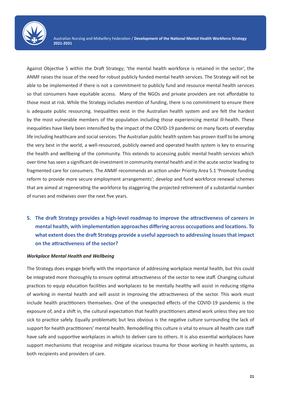

Against Objective 5 within the Draft Strategy; 'the mental health workforce is retained in the sector', the ANMF raises the issue of the need for robust publicly funded mental health services. The Strategy will not be able to be implemented if there is not a commitment to publicly fund and resource mental health services so that consumers have equitable access. Many of the NGOs and private providers are not affordable to those most at risk. While the Strategy includes mention of funding, there is no commitment to ensure there is adequate public resourcing. Inequalities exist in the Australian health system and are felt the hardest by the most vulnerable members of the population including those experiencing mental ill-health. These inequalities have likely been intensified by the impact of the COVID-19 pandemic on many facets of everyday life including healthcare and social services. The Australian public health system has proven itself to be among the very best in the world, a well-resourced, publicly owned and operated health system is key to ensuring the health and wellbeing of the community. This extends to accessing public mental health services which over time has seen a significant de-investment in community mental health and in the acute sector leading to fragmented care for consumers. The ANMF recommends an action under Priority Area 5.1 'Promote funding reform to provide more secure employment arrangements'; develop and fund workforce renewal schemes that are aimed at regenerating the workforce by staggering the projected retirement of a substantial number of nurses and midwives over the next five years.

# **5. The draft Strategy provides a high-level roadmap to improve the attractiveness of careers in mental health, with implementation approaches differing across occupations and locations. To what extent does the draft Strategy provide a useful approach to addressing issues that impact on the attractiveness of the sector?**

#### *Workplace Mental Health and Wellbeing*

The Strategy does engage briefly with the importance of addressing workplace mental health, but this could be integrated more thoroughly to ensure optimal attractiveness of the sector to new staff. Changing cultural practices to equip education facilities and workplaces to be mentally healthy will assist in reducing stigma of working in mental health and will assist in improving the attractiveness of the sector. This work must include health practitioners themselves. One of the unexpected effects of the COVID-19 pandemic is the exposure of, and a shift in, the cultural expectation that health practitioners attend work unless they are too sick to practice safely. Equally problematic but less obvious is the negative culture surrounding the lack of support for health practitioners' mental health. Remodelling this culture is vital to ensure all health care staff have safe and supportive workplaces in which to deliver care to others. It is also essential workplaces have support mechanisms that recognise and mitigate vicarious trauma for those working in health systems, as both recipients and providers of care.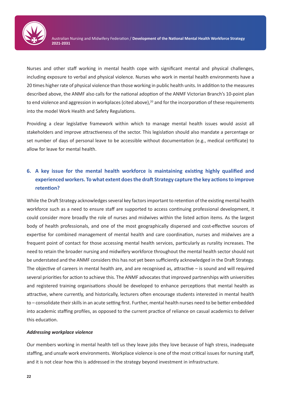

Nurses and other staff working in mental health cope with significant mental and physical challenges, including exposure to verbal and physical violence. Nurses who work in mental health environments have a 20 times higher rate of physical violence than those working in public health units. In addition to the measures described above, the ANMF also calls for the national adoption of the ANMF Victorian Branch's 10-point plan to end violence and aggression in workplaces (cited above),<sup>20</sup> and for the incorporation of these requirements into the model Work Health and Safety Regulations.

Providing a clear legislative framework within which to manage mental health issues would assist all stakeholders and improve attractiveness of the sector. This legislation should also mandate a percentage or set number of days of personal leave to be accessible without documentation (e.g., medical certificate) to allow for leave for mental health.

# **6. A key issue for the mental health workforce is maintaining existing highly qualified and experienced workers. To what extent does the draft Strategy capture the key actions to improve retention?**

While the Draft Strategy acknowledges several key factors important to retention of the existing mental health workforce such as a need to ensure staff are supported to access continuing professional development, it could consider more broadly the role of nurses and midwives within the listed action items. As the largest body of health professionals, and one of the most geographically dispersed and cost-effective sources of expertise for combined management of mental health and care coordination, nurses and midwives are a frequent point of contact for those accessing mental health services, particularly as rurality increases. The need to retain the broader nursing and midwifery workforce throughout the mental health sector should not be understated and the ANMF considers this has not yet been sufficiently acknowledged in the Draft Strategy. The objective of careers in mental health are, and are recognised as, attractive – is sound and will required several priorities for action to achieve this. The ANMF advocates that improved partnerships with universities and registered training organisations should be developed to enhance perceptions that mental health as attractive, where currently, and historically, lecturers often encourage students interested in mental health to – consolidate their skills in an acute setting first. Further, mental health nurses need to be better embedded into academic staffing profiles, as opposed to the current practice of reliance on casual academics to deliver this education.

#### *Addressing workplace violence*

Our members working in mental health tell us they leave jobs they love because of high stress, inadequate staffing, and unsafe work environments. Workplace violence is one of the most critical issues for nursing staff, and it is not clear how this is addressed in the strategy beyond investment in infrastructure.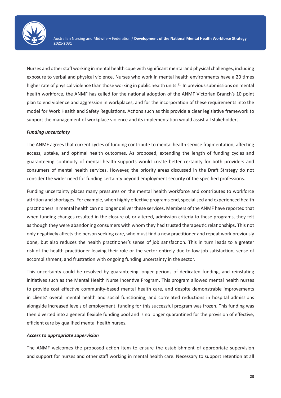

Nurses and other staff working in mental health cope with significant mental and physical challenges, including exposure to verbal and physical violence. Nurses who work in mental health environments have a 20 times higher rate of physical violence than those working in public health units.<sup>21</sup> In previous submissions on mental health workforce, the ANMF has called for the national adoption of the ANMF Victorian Branch's 10 point plan to end violence and aggression in workplaces, and for the incorporation of these requirements into the model for Work Health and Safety Regulations. Actions such as this provide a clear legislative framework to support the management of workplace violence and its implementation would assist all stakeholders.

#### *Funding uncertainty*

The ANMF agrees that current cycles of funding contribute to mental health service fragmentation, affecting access, uptake, and optimal health outcomes. As proposed, extending the length of funding cycles and guaranteeing continuity of mental health supports would create better certainty for both providers and consumers of mental health services. However, the priority areas discussed in the Draft Strategy do not consider the wider need for funding certainty beyond employment security of the specified professions.

Funding uncertainty places many pressures on the mental health workforce and contributes to workforce attrition and shortages. For example, when highly effective programs end, specialised and experienced health practitioners in mental health can no longer deliver these services. Members of the ANMF have reported that when funding changes resulted in the closure of, or altered, admission criteria to these programs, they felt as though they were abandoning consumers with whom they had trusted therapeutic relationships. This not only negatively affects the person seeking care, who must find a new practitioner and repeat work previously done, but also reduces the health practitioner's sense of job satisfaction. This in turn leads to a greater risk of the health practitioner leaving their role or the sector entirely due to low job satisfaction, sense of accomplishment, and frustration with ongoing funding uncertainty in the sector.

This uncertainty could be resolved by guaranteeing longer periods of dedicated funding, and reinstating initiatives such as the Mental Health Nurse Incentive Program. This program allowed mental health nurses to provide cost effective community-based mental health care, and despite demonstrable improvements in clients' overall mental health and social functioning, and correlated reductions in hospital admissions alongside increased levels of employment, funding for this successful program was frozen. This funding was then diverted into a general flexible funding pool and is no longer quarantined for the provision of effective, efficient care by qualified mental health nurses.

#### *Access to appropriate supervision*

The ANMF welcomes the proposed action item to ensure the establishment of appropriate supervision and support for nurses and other staff working in mental health care. Necessary to support retention at all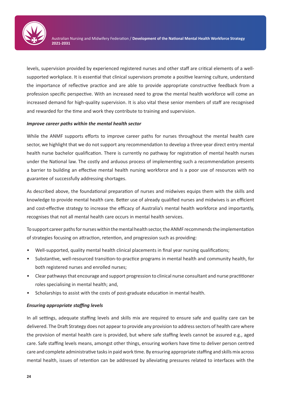

levels, supervision provided by experienced registered nurses and other staff are critical elements of a wellsupported workplace. It is essential that clinical supervisors promote a positive learning culture, understand the importance of reflective practice and are able to provide appropriate constructive feedback from a profession specific perspective. With an increased need to grow the mental health workforce will come an increased demand for high-quality supervision. It is also vital these senior members of staff are recognised and rewarded for the time and work they contribute to training and supervision.

#### *Improve career paths within the mental health sector*

While the ANMF supports efforts to improve career paths for nurses throughout the mental health care sector, we highlight that we do not support any recommendation to develop a three-year direct entry mental health nurse bachelor qualification. There is currently no pathway for registration of mental health nurses under the National law. The costly and arduous process of implementing such a recommendation presents a barrier to building an effective mental health nursing workforce and is a poor use of resources with no guarantee of successfully addressing shortages.

As described above, the foundational preparation of nurses and midwives equips them with the skills and knowledge to provide mental health care. Better use of already qualified nurses and midwives is an efficient and cost-effective strategy to increase the efficacy of Australia's mental health workforce and importantly, recognises that not all mental health care occurs in mental health services.

To support career paths for nurses within the mental health sector, the ANMF recommends the implementation of strategies focusing on attraction, retention, and progression such as providing:

- Well-supported, quality mental health clinical placements in final year nursing qualifications;
- Substantive, well-resourced transition-to-practice programs in mental health and community health, for both registered nurses and enrolled nurses;
- Clear pathways that encourage and support progression to clinical nurse consultant and nurse practitioner roles specialising in mental health; and,
- Scholarships to assist with the costs of post-graduate education in mental health.

#### *Ensuring appropriate staffing levels*

In all settings, adequate staffing levels and skills mix are required to ensure safe and quality care can be delivered. The Draft Strategy does not appear to provide any provision to address sectors of health care where the provision of mental health care is provided, but where safe staffing levels cannot be assured e.g., aged care. Safe staffing levels means, amongst other things, ensuring workers have time to deliver person centred care and complete administrative tasks in paid work time. By ensuring appropriate staffing and skills mix across mental health, issues of retention can be addressed by alleviating pressures related to interfaces with the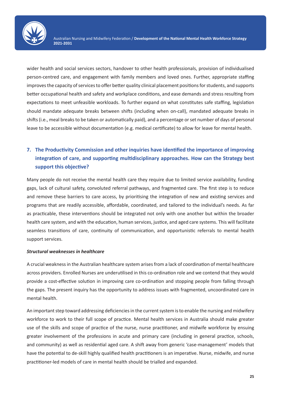

wider health and social services sectors, handover to other health professionals, provision of individualised person-centred care, and engagement with family members and loved ones. Further, appropriate staffing improves the capacity of services to offer better quality clinical placement positions for students, and supports better occupational health and safety and workplace conditions, and ease demands and stress resulting from expectations to meet unfeasible workloads. To further expand on what constitutes safe staffing, legislation should mandate adequate breaks between shifts (including when on-call), mandated adequate breaks in shifts (i.e., meal breaks to be taken or automatically paid), and a percentage or set number of days of personal leave to be accessible without documentation (e.g. medical certificate) to allow for leave for mental health.

# **7. The Productivity Commission and other inquiries have identified the importance of improving integration of care, and supporting multidisciplinary approaches. How can the Strategy best support this objective?**

Many people do not receive the mental health care they require due to limited service availability, funding gaps, lack of cultural safety, convoluted referral pathways, and fragmented care. The first step is to reduce and remove these barriers to care access, by prioritising the integration of new and existing services and programs that are readily accessible, affordable, coordinated, and tailored to the individual's needs. As far as practicable, these interventions should be integrated not only with one another but within the broader health care system, and with the education, human services, justice, and aged care systems. This will facilitate seamless transitions of care, continuity of communication, and opportunistic referrals to mental health support services.

#### *Structural weaknesses in healthcare*

A crucial weakness in the Australian healthcare system arises from a lack of coordination of mental healthcare across providers. Enrolled Nurses are underutilised in this co-ordination role and we contend that they would provide a cost-effective solution in improving care co-ordination and stopping people from falling through the gaps. The present inquiry has the opportunity to address issues with fragmented, uncoordinated care in mental health.

An important step toward addressing deficiencies in the current system is to enable the nursing and midwifery workforce to work to their full scope of practice. Mental health services in Australia should make greater use of the skills and scope of practice of the nurse, nurse practitioner, and midwife workforce by ensuing greater involvement of the professions in acute and primary care (including in general practice, schools, and community) as well as residential aged care. A shift away from generic 'case-management' models that have the potential to de-skill highly qualified health practitioners is an imperative. Nurse, midwife, and nurse practitioner-led models of care in mental health should be trialled and expanded.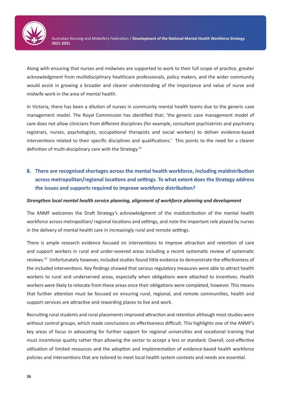

Along with ensuring that nurses and midwives are supported to work to their full scope of practice, greater acknowledgment from multidisciplinary healthcare professionals, policy makers, and the wider community would assist in growing a broader and clearer understanding of the importance and value of nurse and midwife work in the area of mental health.

In Victoria, there has been a dilution of nurses in community mental health teams due to the generic case management model. The Royal Commission has identified that; 'the generic case management model of care does not allow clinicians from different disciplines (for example, consultant psychiatrists and psychiatry registrars, nurses, psychologists, occupational therapists and social workers) to deliver evidence-based interventions related to their specific disciplines and qualifications.' This points to the need for a clearer definition of multi-disciplinary care with the Strategy.<sup>22</sup>

# **8. There are recognised shortages across the mental health workforce, including maldistribution across metropolitan/regional locations and settings. To what extent does the Strategy address the issues and supports required to improve workforce distribution?**

#### *Strengthen local mental health service planning, alignment of workforce planning and development*

The ANMF welcomes the Draft Strategy's acknowledgment of the maldistribution of the mental health workforce across metropolitan/ regional locations and settings, and note the important role played by nurses in the delivery of mental health care in increasingly rural and remote settings.

There is ample research evidence focused on interventions to improve attraction and retention of care and support workers in rural and under-severed areas including a recent systematic review of systematic reviews.23 Unfortunately however, included studies found little evidence to demonstrate the effectiveness of the included interventions. Key findings showed that various regulatory measures were able to attract health workers to rural and underserved areas, especially when obligations were attached to incentives. Health workers were likely to relocate from these areas once their obligations were completed, however. This means that further attention must be focused on ensuring rural, regional, and remote communities, health and support services are attractive and rewarding places to live and work.

Recruiting rural students and rural placements improved attraction and retention although most studies were without control groups, which made conclusions on effectiveness difficult. This highlights one of the ANMF's key areas of focus in advocating for further support for regional universities and vocational training that must incentivise quality rather than allowing the sector to accept a less or standard. Overall, cost-effective utilisation of limited resources and the adoption and implementation of evidence-based health workforce policies and interventions that are tailored to meet local health system contexts and needs are essential.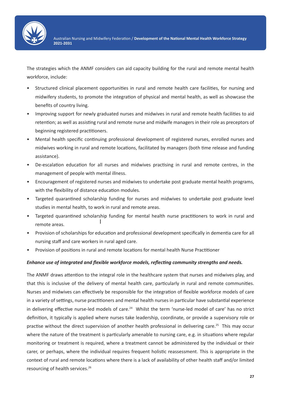

The strategies which the ANMF considers can aid capacity building for the rural and remote mental health workforce, include:

- Structured clinical placement opportunities in rural and remote health care facilities, for nursing and midwifery students, to promote the integration of physical and mental health, as well as showcase the benefits of country living.
- Improving support for newly graduated nurses and midwives in rural and remote health facilities to aid retention; as well as assisting rural and remote nurse and midwife managers in their role as preceptors of beginning registered practitioners.
- Mental health specific continuing professional development of registered nurses, enrolled nurses and midwives working in rural and remote locations, facilitated by managers (both time release and funding assistance).
- De-escalation education for all nurses and midwives practising in rural and remote centres, in the management of people with mental illness.
- Encouragement of registered nurses and midwives to undertake post graduate mental health programs, with the flexibility of distance education modules.
- Targeted quarantined scholarship funding for nurses and midwives to undertake post graduate level studies in mental health, to work in rural and remote areas.
- Targeted quarantined scholarship funding for mental health nurse practitioners to work in rural and remote areas.
- Provision of scholarships for education and professional development specifically in dementia care for all nursing staff and care workers in rural aged care.
- Provision of positions in rural and remote locations for mental health Nurse Practitioner

#### *Enhance use of integrated and flexible workforce models, reflecting community strengths and needs.*

The ANMF draws attention to the integral role in the healthcare system that nurses and midwives play, and that this is inclusive of the delivery of mental health care, particularly in rural and remote communities. Nurses and midwives can effectively be responsible for the integration of flexible workforce models of care in a variety of settings, nurse practitioners and mental health nurses in particular have substantial experience in delivering effective nurse-led models of care.<sup>24</sup> Whilst the term 'nurse-led model of care' has no strict definition, it typically is applied where nurses take leadership, coordinate, or provide a supervisory role or practise without the direct supervision of another health professional in delivering care.<sup>25</sup> This may occur where the nature of the treatment is particularly amenable to nursing care, e.g. in situations where regular monitoring or treatment is required, where a treatment cannot be administered by the individual or their carer, or perhaps, where the individual requires frequent holistic reassessment. This is appropriate in the context of rural and remote locations where there is a lack of availability of other health staff and/or limited resourcing of health services.<sup>26</sup>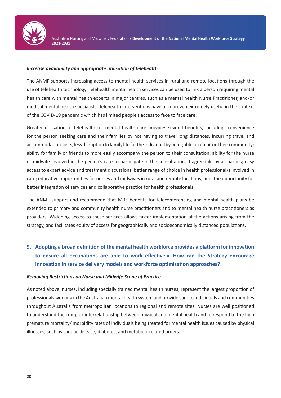

#### *Increase availability and appropriate utilisation of telehealth*

The ANMF supports increasing access to mental health services in rural and remote locations through the use of telehealth technology. Telehealth mental health services can be used to link a person requiring mental health care with mental health experts in major centres, such as a mental health Nurse Practitioner, and/or medical mental health specialists. Telehealth interventions have also proven extremely useful in the context of the COVID-19 pandemic which has limited people's access to face to face care.

Greater utilisation of telehealth for mental health care provides several benefits, including: convenience for the person seeking care and their families by not having to travel long distances, incurring travel and accommodation costs; less disruption to family life for the individual by being able to remain in their community; ability for family or friends to more easily accompany the person to their consultation; ability for the nurse or midwife involved in the person's care to participate in the consultation, if agreeable by all parties; easy access to expert advice and treatment discussions; better range of choice in health professional/s involved in care; educative opportunities for nurses and midwives in rural and remote locations; and, the opportunity for better integration of services and collaborative practice for health professionals.

The ANMF support and recommend that MBS benefits for teleconferencing and mental health plans be extended to primary and community health nurse practitioners and to mental health nurse practitioners as providers. Widening access to these services allows faster implementation of the actions arising from the strategy, and facilitates equity of access for geographically and socioeconomically distanced populations.

# **9. Adopting a broad definition of the mental health workforce provides a platform for innovation to ensure all occupations are able to work effectively. How can the Strategy encourage innovation in service delivery models and workforce optimisation approaches?**

#### *Removing Restrictions on Nurse and Midwife Scope of Practice*

As noted above, nurses, including specially trained mental health nurses, represent the largest proportion of professionals working in the Australian mental health system and provide care to individuals and communities throughout Australia from metropolitan locations to regional and remote sites. Nurses are well positioned to understand the complex interrelationship between physical and mental health and to respond to the high premature mortality/ morbidity rates of individuals being treated for mental health issues caused by physical illnesses, such as cardiac disease, diabetes, and metabolic related orders.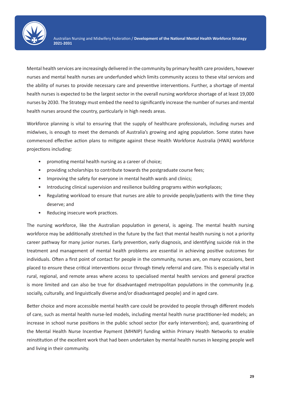

Mental health services are increasingly delivered in the community by primary health care providers, however nurses and mental health nurses are underfunded which limits community access to these vital services and the ability of nurses to provide necessary care and preventive interventions. Further, a shortage of mental health nurses is expected to be the largest sector in the overall nursing workforce shortage of at least 19,000 nurses by 2030. The Strategy must embed the need to significantly increase the number of nurses and mental health nurses around the country, particularly in high needs areas.

Workforce planning is vital to ensuring that the supply of healthcare professionals, including nurses and midwives, is enough to meet the demands of Australia's growing and aging population. Some states have commenced effective action plans to mitigate against these Health Workforce Australia (HWA) workforce projections including:

- promoting mental health nursing as a career of choice;
- providing scholarships to contribute towards the postgraduate course fees;
- Improving the safety for everyone in mental health wards and clinics;
- Introducing clinical supervision and resilience building programs within workplaces;
- Regulating workload to ensure that nurses are able to provide people/patients with the time they deserve; and
- Reducing insecure work practices.

The nursing workforce, like the Australian population in general, is ageing. The mental health nursing workforce may be additionally stretched in the future by the fact that mental health nursing is not a priority career pathway for many junior nurses. Early prevention, early diagnosis, and identifying suicide risk in the treatment and management of mental health problems are essential in achieving positive outcomes for individuals. Often a first point of contact for people in the community, nurses are, on many occasions, best placed to ensure these critical interventions occur through timely referral and care. This is especially vital in rural, regional, and remote areas where access to specialised mental health services and general practice is more limited and can also be true for disadvantaged metropolitan populations in the community (e.g. socially, culturally, and linguistically diverse and/or disadvantaged people) and in aged care.

Better choice and more accessible mental health care could be provided to people through different models of care, such as mental health nurse-led models, including mental health nurse practitioner-led models; an increase in school nurse positions in the public school sector (for early intervention); and, quarantining of the Mental Health Nurse Incentive Payment (MHNIP) funding within Primary Health Networks to enable reinstitution of the excellent work that had been undertaken by mental health nurses in keeping people well and living in their community.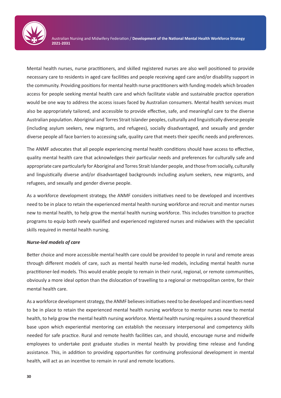

Mental health nurses, nurse practitioners, and skilled registered nurses are also well positioned to provide necessary care to residents in aged care facilities and people receiving aged care and/or disability support in the community. Providing positions for mental health nurse practitioners with funding models which broaden access for people seeking mental health care and which facilitate viable and sustainable practice operation would be one way to address the access issues faced by Australian consumers. Mental health services must also be appropriately tailored, and accessible to provide effective, safe, and meaningful care to the diverse Australian population. Aboriginal and Torres Strait Islander peoples, culturally and linguistically diverse people (including asylum seekers, new migrants, and refugees), socially disadvantaged, and sexually and gender diverse people all face barriers to accessing safe, quality care that meets their specific needs and preferences.

The ANMF advocates that all people experiencing mental health conditions should have access to effective, quality mental health care that acknowledges their particular needs and preferences for culturally safe and appropriate care particularly for Aboriginal and Torres Strait Islander people, and those from socially, culturally and linguistically diverse and/or disadvantaged backgrounds including asylum seekers, new migrants, and refugees, and sexually and gender diverse people.

As a workforce development strategy, the ANMF considers initiatives need to be developed and incentives need to be in place to retain the experienced mental health nursing workforce and recruit and mentor nurses new to mental health, to help grow the mental health nursing workforce. This includes transition to practice programs to equip both newly qualified and experienced registered nurses and midwives with the specialist skills required in mental health nursing.

#### *Nurse-led models of care*

Better choice and more accessible mental health care could be provided to people in rural and remote areas through different models of care, such as mental health nurse-led models, including mental health nurse practitioner-led models. This would enable people to remain in their rural, regional, or remote communities, obviously a more ideal option than the dislocation of travelling to a regional or metropolitan centre, for their mental health care.

As a workforce development strategy, the ANMF believes initiatives need to be developed and incentives need to be in place to retain the experienced mental health nursing workforce to mentor nurses new to mental health, to help grow the mental health nursing workforce. Mental health nursing requires a sound theoretical base upon which experiential mentoring can establish the necessary interpersonal and competency skills needed for safe practice. Rural and remote health facilities can, and should, encourage nurse and midwife employees to undertake post graduate studies in mental health by providing time release and funding assistance. This, in addition to providing opportunities for continuing professional development in mental health, will act as an incentive to remain in rural and remote locations.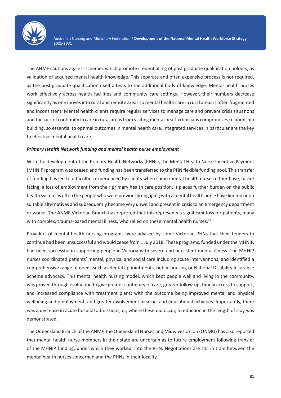

The ANMF cautions against schemes which promote credentialling of post graduate qualification holders, as validation of acquired mental health knowledge. This separate and often expensive process is not required, as the post graduate qualification itself attests to the additional body of knowledge. Mental health nurses work effectively across health facilities and community care settings. However, their numbers decrease significantly as one moves into rural and remote areas so mental health care in rural areas is often fragmented and inconsistent. Mental health clients require regular services to manage care and prevent crisis situations and the lack of continuity in care in rural areas from visiting mental health clinicians compromises relationship building, so essential to optimal outcomes in mental health care. Integrated services in particular are the key to effective mental health care.

#### *Primary Health Network funding and mental health nurse employment*

With the development of the Primary Health Networks (PHNs), the Mental Health Nurse Incentive Payment (MHNIP) program was ceased and funding has been transferred to the PHN flexible funding pool. This transfer of funding has led to difficulties experienced by clients when some mental health nurses either have, or are facing, a loss of employment from their primary health care position. It places further burden on the public health system as often the people who were previously engaging with a mental health nurse have limited or no suitable alternatives and subsequently become very unwell and present in crisis to an emergency department or worse. The ANMF Victorian Branch has reported that this represents a significant loss for patients, many with complex, trauma-based mental illness, who relied on these mental health nurses.<sup>27</sup>

Providers of mental health nursing programs were advised by some Victorian PHNs that their tenders to continue had been unsuccessful and would cease from 1 July 2018. These programs, funded under the MHNIP, had been successful in supporting people in Victoria with severe and persistent mental illness. The MHNIP nurses coordinated patients' mental, physical and social care including acute interventions, and identified a comprehensive range of needs such as dental appointments, public housing or National Disability Insurance Scheme advocacy. This mental health nursing model, which kept people well and living in the community, was proven through evaluation to give greater continuity of care, greater follow-up, timely access to support, and increased compliance with treatment plans; with the outcome being improved mental and physical wellbeing and employment, and greater involvement in social and educational activities. Importantly, there was a decrease in acute hospital admissions, or, where these did occur, a reduction in the length of stay was demonstrated.

The Queensland Branch of the ANMF, the Queensland Nurses and Midwives Union (QNMU) has also reported that mental health nurse members in their state are uncertain as to future employment following transfer of the MHNIP funding, under which they worked, into the PHN. Negotiations are still in train between the mental health nurses concerned and the PHNs in their locality.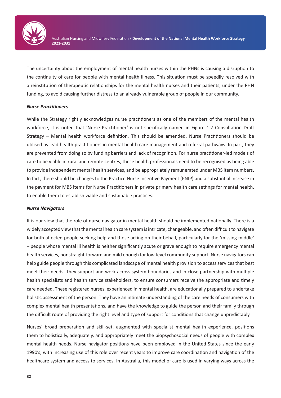

The uncertainty about the employment of mental health nurses within the PHNs is causing a disruption to the continuity of care for people with mental health illness. This situation must be speedily resolved with a reinstitution of therapeutic relationships for the mental health nurses and their patients, under the PHN funding, to avoid causing further distress to an already vulnerable group of people in our community.

#### *Nurse Practitioners*

While the Strategy rightly acknowledges nurse practitioners as one of the members of the mental health workforce, it is noted that 'Nurse Practitioner' is not specifically named in Figure 1.2 Consultation Draft Strategy – Mental health workforce definition. This should be amended. Nurse Practitioners should be utilised as lead health practitioners in mental health care management and referral pathways. In part, they are prevented from doing so by funding barriers and lack of recognition. For nurse practitioner-led models of care to be viable in rural and remote centres, these health professionals need to be recognised as being able to provide independent mental health services, and be appropriately remunerated under MBS item numbers. In fact, there should be changes to the Practice Nurse Incentive Payment (PNIP) and a substantial increase in the payment for MBS items for Nurse Practitioners in private primary health care settings for mental health, to enable them to establish viable and sustainable practices.

#### *Nurse Navigators*

It is our view that the role of nurse navigator in mental health should be implemented nationally. There is a widely accepted view that the mental health care system is intricate, changeable, and often difficult to navigate for both affected people seeking help and those acting on their behalf, particularly for the 'missing middle' – people whose mental ill health is neither significantly acute or grave enough to require emergency mental health services, nor straight-forward and mild enough for low-level community support. Nurse navigators can help guide people through this complicated landscape of mental health provision to access services that best meet their needs. They support and work across system boundaries and in close partnership with multiple health specialists and health service stakeholders, to ensure consumers receive the appropriate and timely care needed. These registered nurses, experienced in mental health, are educationally prepared to undertake holistic assessment of the person. They have an intimate understanding of the care needs of consumers with complex mental health presentations, and have the knowledge to guide the person and their family through the difficult route of providing the right level and type of support for conditions that change unpredictably.

Nurses' broad preparation and skill-set, augmented with specialist mental health experience, positions them to holistically, adequately, and appropriately meet the biopsychosocial needs of people with complex mental health needs. Nurse navigator positions have been employed in the United States since the early 1990's, with increasing use of this role over recent years to improve care coordination and navigation of the healthcare system and access to services. In Australia, this model of care is used in varying ways across the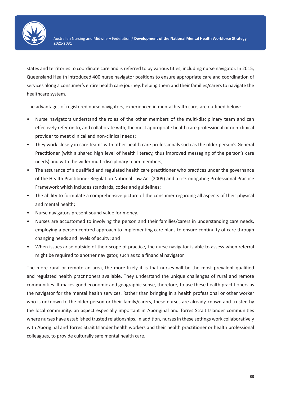

states and territories to coordinate care and is referred to by various titles, including nurse navigator. In 2015, Queensland Health introduced 400 nurse navigator positions to ensure appropriate care and coordination of services along a consumer's entire health care journey, helping them and their families/carers to navigate the healthcare system.

The advantages of registered nurse navigators, experienced in mental health care, are outlined below:

- Nurse navigators understand the roles of the other members of the multi-disciplinary team and can effectively refer on to, and collaborate with, the most appropriate health care professional or non-clinical provider to meet clinical and non-clinical needs;
- They work closely in care teams with other health care professionals such as the older person's General Practitioner (with a shared high level of health literacy, thus improved messaging of the person's care needs) and with the wider multi-disciplinary team members;
- The assurance of a qualified and regulated health care practitioner who practices under the governance of the Health Practitioner Regulation National Law Act (2009) and a risk mitigating Professional Practice Framework which includes standards, codes and guidelines;
- The ability to formulate a comprehensive picture of the consumer regarding all aspects of their physical and mental health;
- Nurse navigators present sound value for money.
- Nurses are accustomed to involving the person and their families/carers in understanding care needs, employing a person-centred approach to implementing care plans to ensure continuity of care through changing needs and levels of acuity; and
- When issues arise outside of their scope of practice, the nurse navigator is able to assess when referral might be required to another navigator, such as to a financial navigator.

The more rural or remote an area, the more likely it is that nurses will be the most prevalent qualified and regulated health practitioners available. They understand the unique challenges of rural and remote communities. It makes good economic and geographic sense, therefore, to use these health practitioners as the navigator for the mental health services. Rather than bringing in a health professional or other worker who is unknown to the older person or their family/carers, these nurses are already known and trusted by the local community, an aspect especially important in Aboriginal and Torres Strait Islander communities where nurses have established trusted relationships. In addition, nurses in these settings work collaboratively with Aboriginal and Torres Strait Islander health workers and their health practitioner or health professional colleagues, to provide culturally safe mental health care.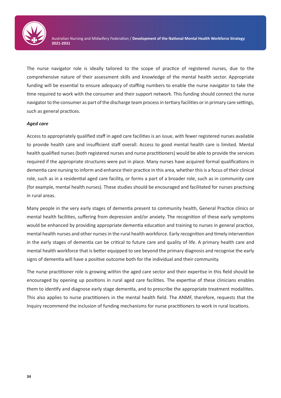

The nurse navigator role is ideally tailored to the scope of practice of registered nurses, due to the comprehensive nature of their assessment skills and knowledge of the mental health sector. Appropriate funding will be essential to ensure adequacy of staffing numbers to enable the nurse navigator to take the time required to work with the consumer and their support network. This funding should connect the nurse navigator to the consumer as part of the discharge team process in tertiary facilities or in primary care settings, such as general practices.

#### *Aged care*

Access to appropriately qualified staff in aged care facilities is an issue, with fewer registered nurses available to provide health care and insufficient staff overall. Access to good mental health care is limited. Mental health qualified nurses (both registered nurses and nurse practitioners) would be able to provide the services required if the appropriate structures were put in place. Many nurses have acquired formal qualifications in dementia care nursing to inform and enhance their practice in this area, whether this is a focus of their clinical role, such as in a residential aged care facility, or forms a part of a broader role, such as in community care (for example, mental health nurses). These studies should be encouraged and facilitated for nurses practising in rural areas.

Many people in the very early stages of dementia present to community health, General Practice clinics or mental health facilities, suffering from depression and/or anxiety. The recognition of these early symptoms would be enhanced by providing appropriate dementia education and training to nurses in general practice, mental health nurses and other nurses in the rural health workforce. Early recognition and timely intervention in the early stages of dementia can be critical to future care and quality of life. A primary health care and mental health workforce that is better equipped to see beyond the primary diagnosis and recognise the early signs of dementia will have a positive outcome both for the individual and their community.

The nurse practitioner role is growing within the aged care sector and their expertise in this field should be encouraged by opening up positions in rural aged care facilities. The expertise of these clinicians enables them to identify and diagnose early stage dementia, and to prescribe the appropriate treatment modalities. This also applies to nurse practitioners in the mental health field. The ANMF, therefore, requests that the Inquiry recommend the inclusion of funding mechanisms for nurse practitioners to work in rural locations.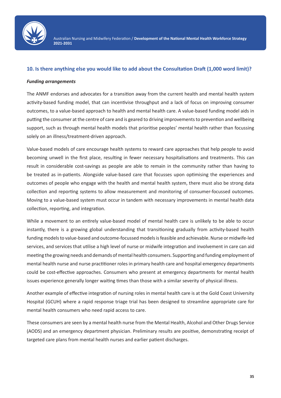

#### **10. Is there anything else you would like to add about the Consultation Draft (1,000 word limit)?**

#### *Funding arrangements*

The ANMF endorses and advocates for a transition away from the current health and mental health system activity-based funding model, that can incentivise throughput and a lack of focus on improving consumer outcomes, to a value-based approach to health and mental health care. A value-based funding model aids in putting the consumer at the centre of care and is geared to driving improvements to prevention and wellbeing support, such as through mental health models that prioritise peoples' mental health rather than focussing solely on an illness/treatment-driven approach.

Value-based models of care encourage health systems to reward care approaches that help people to avoid becoming unwell in the first place, resulting in fewer necessary hospitalisations and treatments. This can result in considerable cost-savings as people are able to remain in the community rather than having to be treated as in-patients. Alongside value-based care that focusses upon optimising the experiences and outcomes of people who engage with the health and mental health system, there must also be strong data collection and reporting systems to allow measurement and monitoring of consumer-focussed outcomes. Moving to a value-based system must occur in tandem with necessary improvements in mental health data collection, reporting, and integration.

While a movement to an entirely value-based model of mental health care is unlikely to be able to occur instantly, there is a growing global understanding that transitioning gradually from activity-based health funding models to value-based and outcome-focussed models is feasible and achievable. Nurse or midwife-led services, and services that utilise a high level of nurse or midwife integration and involvement in care can aid meeting the growing needs and demands of mental health consumers. Supporting and funding employment of mental health nurse and nurse practitioner roles in primary health care and hospital emergency departments could be cost-effective approaches. Consumers who present at emergency departments for mental health issues experience generally longer waiting times than those with a similar severity of physical illness.

Another example of effective integration of nursing roles in mental health care is at the Gold Coast University Hospital (GCUH) where a rapid response triage trial has been designed to streamline appropriate care for mental health consumers who need rapid access to care.

These consumers are seen by a mental health nurse from the Mental Health, Alcohol and Other Drugs Service (AODS) and an emergency department physician. Preliminary results are positive, demonstrating receipt of targeted care plans from mental health nurses and earlier patient discharges.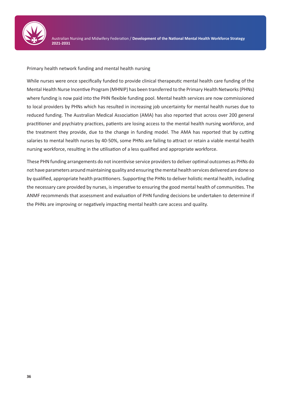

Primary health network funding and mental health nursing

While nurses were once specifically funded to provide clinical therapeutic mental health care funding of the Mental Health Nurse Incentive Program (MHNIP) has been transferred to the Primary Health Networks (PHNs) where funding is now paid into the PHN flexible funding pool. Mental health services are now commissioned to local providers by PHNs which has resulted in increasing job uncertainty for mental health nurses due to reduced funding. The Australian Medical Association (AMA) has also reported that across over 200 general practitioner and psychiatry practices, patients are losing access to the mental health nursing workforce, and the treatment they provide, due to the change in funding model. The AMA has reported that by cutting salaries to mental health nurses by 40-50%, some PHNs are failing to attract or retain a viable mental health nursing workforce, resulting in the utilisation of a less qualified and appropriate workforce.

These PHN funding arrangements do not incentivise service providers to deliver optimal outcomes as PHNs do not have parameters around maintaining quality and ensuring the mental health services delivered are done so by qualified, appropriate health practitioners. Supporting the PHNs to deliver holistic mental health, including the necessary care provided by nurses, is imperative to ensuring the good mental health of communities. The ANMF recommends that assessment and evaluation of PHN funding decisions be undertaken to determine if the PHNs are improving or negatively impacting mental health care access and quality.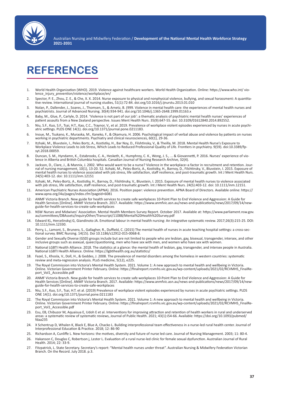

# **REFERENCES**

- 1. World Health Organization (WHO). 2019. Violence against healthcare workers. World Health Organization. Online: https://www.who.int/ violence\_injury\_prevention/violence/workplace/en/
- 2. Spector, P. E., Zhou, Z. E., & Che, X. X. 2014. Nurse exposure to physical and nonphysical violence, bullying, and sexual harassment: A quantitative review. International journal of nursing studies, 51(1):72-84. doi.org/10.1016/j.ijnurstu.2013.01.010
- 3. Nolan, P., Dallender, J., Soares, J., Thomsen, S., & Arnetz, B. (999. Violence in mental health care: the experiences of mental health nurses and psychiatrists. Journal of Advanced Nursing. 30(4):934-941. doi.org/10.1046/j.1365-2648.1999.01163.x
- 4. Baby, M., Glue, P., Carlyle, D. 2014. 'Violence is not part of our job': a thematic analysis of psychiatric mental health nurses' experiences of patient assaults from a New Zealand perspective. Issues Ment Health Nurs. 35(9):647-55. doi: 10.3109/01612840.2014.892552.
- 5. Niu, S.F., Kuo, S.F., Tsai, H.T., Kao, C.C., Traynor, V., et al. 2019. Prevalence of workplace violent episodes experienced by nurses in acute psychiatric settings. PLOS ONE 14(1). doi.org/10.1371/journal.pone.0211183.
- 6. Inoue, M., Tsukano, K., Muraoka, M., Kaneko, F., & Okamura, H. 2006. Psychological impact of verbal abuse and violence by patients on nurses working in psychiatric departments. Psychiatry and clinical neurosciences, 60(1), 29-36.
- 7. Itzhaki, M., Bluvstein, I., Peles Bortz, A., Kostistky, H., Bar Noy, D., Filshtinsky, V., & Theilla, M. 2018. Mental Health Nurse's Exposure to Workplace Violence Leads to Job Stress, Which Leads to Reduced Professional Quality of Life. Frontiers in psychiatry. 9(59). doi:10.3389/fpsyt.2018.00059.
- 8. Duncan, S. M., Hyndamn, K., Estabrooks, C. A., Hesketh, K., Humphrey, C. K., Wong, J. S., ... & Giovannetti, P. 2016. Nurses' experience of violence in Alberta and British Columbia hospitals. Canadian Journal of Nursing Research Archive, 32(4).
- 9. Jackson, D., Clare, J., & Mannix, J. 2002. Who would want to be a nurse? Violence in the workplace–a factor in recruitment and retention. Journal of nursing management, 10(1), 13-20. 52. Itzhaki, M., Peles-Bortz, A., Kostistky, H., Barnoy, D., Filshtinsky, V., Bluvstein, I. 2015. Exposure of mental health nurses to violence associated with job stress, life satisfaction, staff resilience, and post-traumatic growth. Int J Ment Health Nurs. 24(5):403-12. doi: 10.1111/inm.12151
- 10. Itzhaki, M., Peles-Bortz, A., Kostistky, H., Barnoy, D., Filshtinsky, V., Bluvstein, I. 2015. Exposure of mental health nurses to violence associated with job stress, life satisfaction, staff resilience, and post-traumatic growth. Int J Ment Health Nurs. 24(5):403-12. doi: 10.1111/inm.12151.
- 11. American Psychiatric Nurses Association (APNA). 2016. Position paper: violence prevention. APNA Board of Directors. Available online: https:// www.apna.org/i4a/pages/index.cfm?pageid=6081
- 12. ANMF Victoria Branch. New guide for health services to create safe workplaces 10-Point Plan to End Violence and Aggression: A Guide for Health Services [Online]. ANMF Victoria Branch. 2017. Available: https://www.anmfvic.asn.au/news-and-publications/news/2017/09/14/newguide-for-health-services-to-create-safe-workplaces
- 13. NSW Nurses and Midwives' Association. Mental Health Members Survey Report. October 2017. Available at: https://www.parliament.nsw.gov. au/committees/DBAssets/InquiryOther/Transcript/11088/Mental%20Health%20Survey.pdf
- 14. Edward KL, Hercelinskyj G, Giandinoto JA. Emotional labour in mental health nursing: An integrative systematic review. 2017;26(3):215-25. DOI: 10.1111/inm.12330.
- 15. Perry, L., Lamont, S., Brunero, S., Gallagher, R., Duffield, C. (2015) The mental health of nurses in acute teaching hospital settings: a cross-sectional survey. BMC Nursing. 14(15). Doi 10.1186/s12912-015-0068-8.
- 16. Gender and Sexually Diverse (GSD) groups include but are not limited to people who are lesbian, gay, bisexual, transgender, intersex, and other inclusive groups such as asexual, queer/questioning, men who have sex with men, and women who have sex with women.
- 17. National LGBTI Health Alliance. 2018. The statistics at a glance: the mental health of lesbian, gay, transgender, and intersex people in Australia. National LGBTI Health Alliance. Online: https://lgbtihealth.org.au/statistics/
- 18. Fazel, S., Khosla, V., Doll, H., & Geddes, J. 2008. The prevalence of mental disorders among the homeless in western countries: systematic review and meta-regression analysis. PLoS medicine, 5(12), e225.
- 19. The Royal Commission into Victoria's Mental Health System. 2021. Volume 1: A new approach to mental health and wellbeing in Victoria. Online. Victorian Government Printer February. Online: https://finalreport.rcvmhs.vic.gov.au/wp-content/uploads/2021/02/RCVMHS\_FinalReport\_Vol1\_Accessible.pdf
- 20. ANMF Victoria Branch. New guide for health services to create safe workplaces 10-Point Plan to End Violence and Aggression: A Guide for Health Services [Online]. ANMF Victoria Branch. 2017. Available: https://www.anmfvic.asn.au/news-and-publications/news/2017/09/14/newguide-for-health-services-to-create-safe-workplaces
- 21. Niu, S.F., Kuo, S.F., Tsai, H.T. et al. (2019) Prevalence of workplace violent episodes experienced by nurses in acute psychiatric settings. PLOS ONE 14(1). doi.org/10.1371/journal.pone.0211183
- 22. The Royal Commission into Victoria's Mental Health System. 2021. Volume 1: A new approach to mental health and wellbeing in Victoria. Online. Victorian Government Printer February. Online: https://finalreport.rcvmhs.vic.gov.au/wp-content/uploads/2021/02/RCVMHS\_FinalReport\_Vol1\_Accessible.pdf
- 23. Esu, EB, Chibuzor M, Aquaisua E, Udoh E et al. Interventions for improving attraction and retention of health workers in rural and underserved areas: a systematic review of systematic reviews, Journal of Public Health. 2021; 43(1):i54-66. Available: https://doi.org/10.1093/pubmed/ fdaa235
- 24. X Schentrup D, Whalen K, Black E, Blue A, Chacko L. Building interprofessional team effectiveness in a nurse-led rural health center. Journal of Interprofessional Education & Practice. 2018; 12: 86-90
- 25. Richardson A, Cunliffe L. New horizons: the motives, diversity and future of nurse led care. Journal of Nursing Management. 2003; 11: 80-4.
- 26. Hakanson C, Douglas C, Robertson j, Lester L. Evaluation of a rural nurse-led clinic for female sexual dysfunction. Australian Journal of Rural Health. 2014; 22: 33-9.
- 27. Fitzpatrick, L. State Secretary. Secretary's report: "Mental health nurses under threat". Australian Nursing & Midwifery Federation Victorian Branch. On the Record. July 2018. p.3.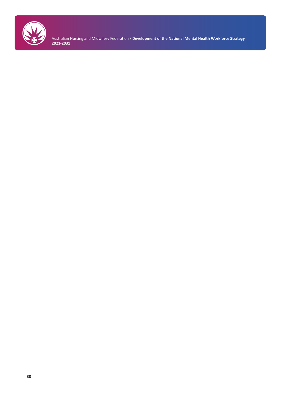